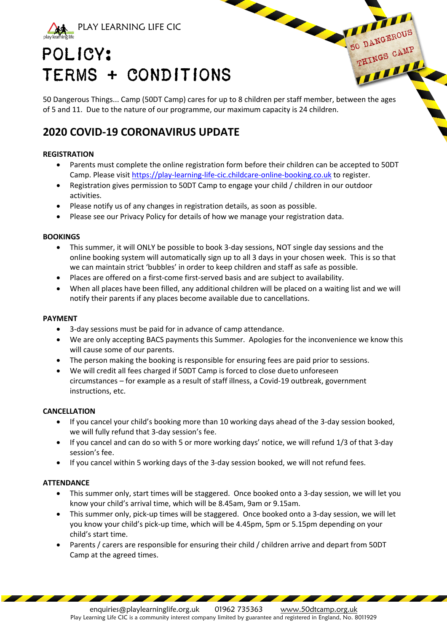

# POLICY: TERMS + CONDITIONS

50 Dangerous Things... Camp (50DT Camp) cares for up to 8 children per staff member, between the ages of 5 and 11. Due to the nature of our programme, our maximum capacity is 24 children.

50 DANGEROUS DANGEROUP

**HINGS** 

# **2020 COVID-19 CORONAVIRUS UPDATE**

# **REGISTRATION**

- Parents must complete the online registration form before their children can be accepted to 50DT Camp. Please visit https://play-learning-life-cic.childcare-online-booking.co.uk to register.
- Registration gives permission to 50DT Camp to engage your child / children in our outdoor activities.
- Please notify us of any changes in registration details, as soon as possible.
- Please see our Privacy Policy for details of how we manage your registration data.

#### **BOOKINGS**

- This summer, it will ONLY be possible to book 3-day sessions, NOT single day sessions and the online booking system will automatically sign up to all 3 days in your chosen week. This is so that we can maintain strict 'bubbles' in order to keep children and staff as safe as possible.
- Places are offered on a first-come first-served basis and are subject to availability.
- When all places have been filled, any additional children will be placed on a waiting list and we will notify their parents if any places become available due to cancellations.

#### **PAYMENT**

- 3-day sessions must be paid for in advance of camp attendance.
- We are only accepting BACS payments this Summer. Apologies for the inconvenience we know this will cause some of our parents.
- The person making the booking is responsible for ensuring fees are paid prior to sessions.
- We will credit all fees charged if 50DT Camp is forced to close dueto unforeseen circumstances – for example as a result of staff illness, a Covid-19 outbreak, government instructions, etc.

#### **CANCELLATION**

- If you cancel your child's booking more than 10 working days ahead of the 3-day session booked, we will fully refund that 3-day session's fee.
- If you cancel and can do so with 5 or more working days' notice, we will refund 1/3 of that 3-day session's fee.
- If you cancel within 5 working days of the 3-day session booked, we will not refund fees.

#### **ATTENDANCE**

- This summer only, start times will be staggered. Once booked onto a 3-day session, we will let you know your child's arrival time, which will be 8.45am, 9am or 9.15am.
- This summer only, pick-up times will be staggered. Once booked onto a 3-day session, we will let you know your child's pick-up time, which will be 4.45pm, 5pm or 5.15pm depending on your child's start time.
- Parents / carers are responsible for ensuring their child / children arrive and depart from 50DT Camp at the agreed times.